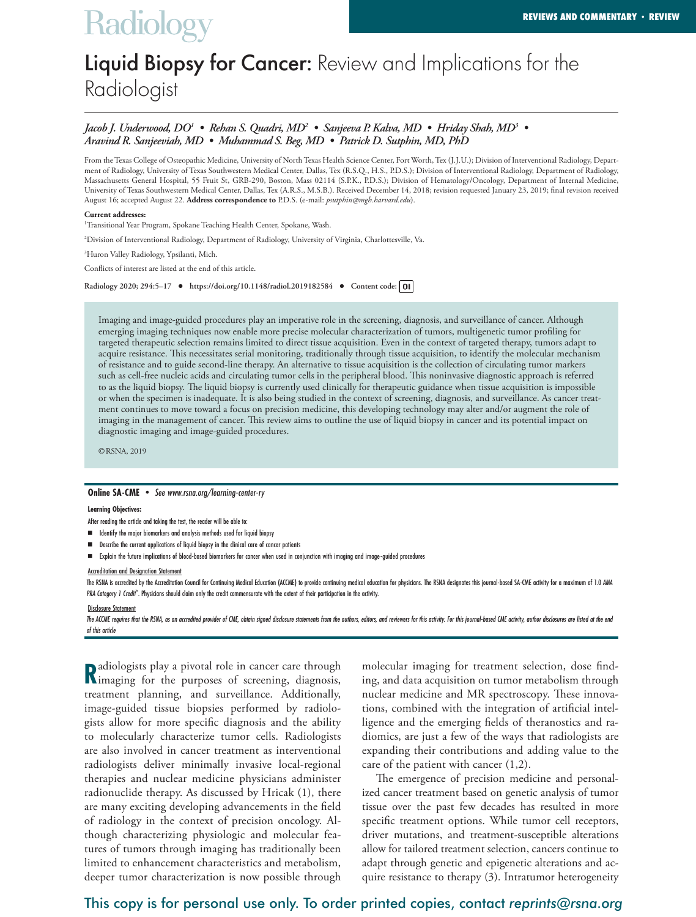# **Radiology**

## Liquid Biopsy for Cancer: Review and Implications for the Radiologist

## *Jacob J. Underwood, DO1 • Rehan S. Quadri, MD2 • Sanjeeva P. Kalva, MD • Hriday Shah, MD3 • Aravind R. Sanjeeviah, MD • Muhammad S. Beg, MD • Patrick D. Sutphin, MD, PhD*

From the Texas College of Osteopathic Medicine, University of North Texas Health Science Center, Fort Worth, Tex (J.J.U.); Division of Interventional Radiology, Department of Radiology, University of Texas Southwestern Medical Center, Dallas, Tex (R.S.Q., H.S., P.D.S.); Division of Interventional Radiology, Department of Radiology, Massachusetts General Hospital, 55 Fruit St, GRB-290, Boston, Mass 02114 (S.P.K., P.D.S.); Division of Hematology/Oncology, Department of Internal Medicine, University of Texas Southwestern Medical Center, Dallas, Tex (A.R.S., M.S.B.). Received December 14, 2018; revision requested January 23, 2019; final revision received August 16; accepted August 22. **Address correspondence to** P.D.S. (e-mail: *psutphin@mgh.harvard.edu*).

#### **Current addresses:**

1 Transitional Year Program, Spokane Teaching Health Center, Spokane, Wash.

2 Division of Interventional Radiology, Department of Radiology, University of Virginia, Charlottesville, Va.

3 Huron Valley Radiology, Ypsilanti, Mich.

Conflicts of interest are listed at the end of this article.

**Radiology 2020; 294:5–17 • https://doi.org/10.1148/radiol.2019182584 • Content code:**

Imaging and image-guided procedures play an imperative role in the screening, diagnosis, and surveillance of cancer. Although emerging imaging techniques now enable more precise molecular characterization of tumors, multigenetic tumor profiling for targeted therapeutic selection remains limited to direct tissue acquisition. Even in the context of targeted therapy, tumors adapt to acquire resistance. This necessitates serial monitoring, traditionally through tissue acquisition, to identify the molecular mechanism of resistance and to guide second-line therapy. An alternative to tissue acquisition is the collection of circulating tumor markers such as cell-free nucleic acids and circulating tumor cells in the peripheral blood. This noninvasive diagnostic approach is referred to as the liquid biopsy. The liquid biopsy is currently used clinically for therapeutic guidance when tissue acquisition is impossible or when the specimen is inadequate. It is also being studied in the context of screening, diagnosis, and surveillance. As cancer treatment continues to move toward a focus on precision medicine, this developing technology may alter and/or augment the role of imaging in the management of cancer. This review aims to outline the use of liquid biopsy in cancer and its potential impact on diagnostic imaging and image-guided procedures.

©RSNA, 2019

### **Online SA-CME •** *See www.rsna.org/learning-center-ry*

#### **Learning Objectives:**

After reading the article and taking the test, the reader will be able to:

- $\blacksquare$  Identify the major biomarkers and analysis methods used for liquid biopsy
- n Describe the current applications of liquid biopsy in the clinical care of cancer patients
- n Explain the future implications of blood-based biomarkers for cancer when used in conjunction with imaging and image-guided procedures

#### Accreditation and Designation Statement

The RSNA is accredited by the Accreditation Council for Continuing Medical Education (ACCME) to provide continuing medical education for physicians. The RSNA designates this journal-based SA-CME activity for a maximum of 1 PRA Category *1 Credit<sup>™</sup>*. Physicians should claim only the credit commensurate with the extent of their participation in the activity.

Disclosure Statement

The ACCME requires that the RSNA, as an accredited provider of CME, obtain signed disclosure statements from the authors, editors, and reviewers for this activity. For this journal-based CME activity, author disclosures ar *of this article*

**R**adiologists play a pivotal role in cancer care through **R**imaging for the purposes of screening, diagnosis, imaging for the purposes of screening, diagnosis, treatment planning, and surveillance. Additionally, image-guided tissue biopsies performed by radiologists allow for more specific diagnosis and the ability to molecularly characterize tumor cells. Radiologists are also involved in cancer treatment as interventional radiologists deliver minimally invasive local-regional therapies and nuclear medicine physicians administer radionuclide therapy. As discussed by Hricak (1), there are many exciting developing advancements in the field of radiology in the context of precision oncology. Although characterizing physiologic and molecular features of tumors through imaging has traditionally been limited to enhancement characteristics and metabolism, deeper tumor characterization is now possible through

molecular imaging for treatment selection, dose finding, and data acquisition on tumor metabolism through nuclear medicine and MR spectroscopy. These innovations, combined with the integration of artificial intelligence and the emerging fields of theranostics and radiomics, are just a few of the ways that radiologists are expanding their contributions and adding value to the care of the patient with cancer (1,2).

The emergence of precision medicine and personalized cancer treatment based on genetic analysis of tumor tissue over the past few decades has resulted in more specific treatment options. While tumor cell receptors, driver mutations, and treatment-susceptible alterations allow for tailored treatment selection, cancers continue to adapt through genetic and epigenetic alterations and acquire resistance to therapy (3). Intratumor heterogeneity

## This copy is for personal use only. To order printed copies, contact *reprints@rsna.org*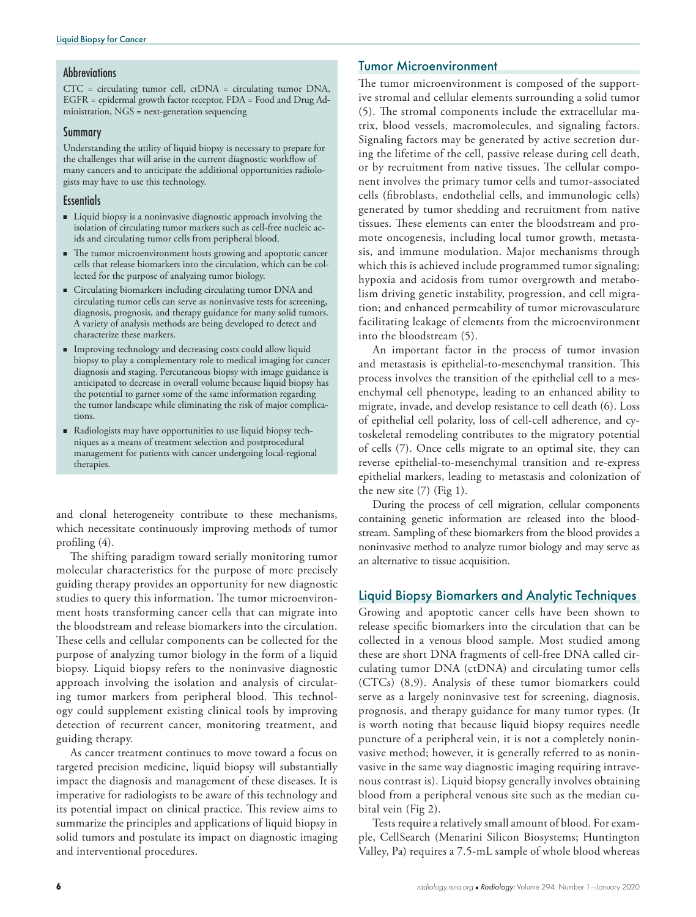## **Abbreviations**

CTC = circulating tumor cell, ctDNA = circulating tumor DNA, EGFR = epidermal growth factor receptor, FDA = Food and Drug Administration, NGS = next-generation sequencing

## Summary

Understanding the utility of liquid biopsy is necessary to prepare for the challenges that will arise in the current diagnostic workflow of many cancers and to anticipate the additional opportunities radiologists may have to use this technology.

## **Essentials**

- n Liquid biopsy is a noninvasive diagnostic approach involving the isolation of circulating tumor markers such as cell-free nucleic acids and circulating tumor cells from peripheral blood.
- n The tumor microenvironment hosts growing and apoptotic cancer cells that release biomarkers into the circulation, which can be collected for the purpose of analyzing tumor biology.
- Circulating biomarkers including circulating tumor DNA and circulating tumor cells can serve as noninvasive tests for screening, diagnosis, prognosis, and therapy guidance for many solid tumors. A variety of analysis methods are being developed to detect and characterize these markers.
- n Improving technology and decreasing costs could allow liquid biopsy to play a complementary role to medical imaging for cancer diagnosis and staging. Percutaneous biopsy with image guidance is anticipated to decrease in overall volume because liquid biopsy has the potential to garner some of the same information regarding the tumor landscape while eliminating the risk of major complications.
- n Radiologists may have opportunities to use liquid biopsy techniques as a means of treatment selection and postprocedural management for patients with cancer undergoing local-regional therapies.

and clonal heterogeneity contribute to these mechanisms, which necessitate continuously improving methods of tumor profiling (4).

The shifting paradigm toward serially monitoring tumor molecular characteristics for the purpose of more precisely guiding therapy provides an opportunity for new diagnostic studies to query this information. The tumor microenvironment hosts transforming cancer cells that can migrate into the bloodstream and release biomarkers into the circulation. These cells and cellular components can be collected for the purpose of analyzing tumor biology in the form of a liquid biopsy. Liquid biopsy refers to the noninvasive diagnostic approach involving the isolation and analysis of circulating tumor markers from peripheral blood. This technology could supplement existing clinical tools by improving detection of recurrent cancer, monitoring treatment, and guiding therapy.

As cancer treatment continues to move toward a focus on targeted precision medicine, liquid biopsy will substantially impact the diagnosis and management of these diseases. It is imperative for radiologists to be aware of this technology and its potential impact on clinical practice. This review aims to summarize the principles and applications of liquid biopsy in solid tumors and postulate its impact on diagnostic imaging and interventional procedures.

## Tumor Microenvironment

The tumor microenvironment is composed of the supportive stromal and cellular elements surrounding a solid tumor (5). The stromal components include the extracellular matrix, blood vessels, macromolecules, and signaling factors. Signaling factors may be generated by active secretion during the lifetime of the cell, passive release during cell death, or by recruitment from native tissues. The cellular component involves the primary tumor cells and tumor-associated cells (fibroblasts, endothelial cells, and immunologic cells) generated by tumor shedding and recruitment from native tissues. These elements can enter the bloodstream and promote oncogenesis, including local tumor growth, metastasis, and immune modulation. Major mechanisms through which this is achieved include programmed tumor signaling; hypoxia and acidosis from tumor overgrowth and metabolism driving genetic instability, progression, and cell migration; and enhanced permeability of tumor microvasculature facilitating leakage of elements from the microenvironment into the bloodstream (5).

An important factor in the process of tumor invasion and metastasis is epithelial-to-mesenchymal transition. This process involves the transition of the epithelial cell to a mesenchymal cell phenotype, leading to an enhanced ability to migrate, invade, and develop resistance to cell death (6). Loss of epithelial cell polarity, loss of cell-cell adherence, and cytoskeletal remodeling contributes to the migratory potential of cells (7). Once cells migrate to an optimal site, they can reverse epithelial-to-mesenchymal transition and re-express epithelial markers, leading to metastasis and colonization of the new site  $(7)$  (Fig 1).

During the process of cell migration, cellular components containing genetic information are released into the bloodstream. Sampling of these biomarkers from the blood provides a noninvasive method to analyze tumor biology and may serve as an alternative to tissue acquisition.

## Liquid Biopsy Biomarkers and Analytic Techniques

Growing and apoptotic cancer cells have been shown to release specific biomarkers into the circulation that can be collected in a venous blood sample. Most studied among these are short DNA fragments of cell-free DNA called circulating tumor DNA (ctDNA) and circulating tumor cells (CTCs) (8,9). Analysis of these tumor biomarkers could serve as a largely noninvasive test for screening, diagnosis, prognosis, and therapy guidance for many tumor types. (It is worth noting that because liquid biopsy requires needle puncture of a peripheral vein, it is not a completely noninvasive method; however, it is generally referred to as noninvasive in the same way diagnostic imaging requiring intravenous contrast is). Liquid biopsy generally involves obtaining blood from a peripheral venous site such as the median cubital vein (Fig 2).

Tests require a relatively small amount of blood. For example, CellSearch (Menarini Silicon Biosystems; Huntington Valley, Pa) requires a 7.5-mL sample of whole blood whereas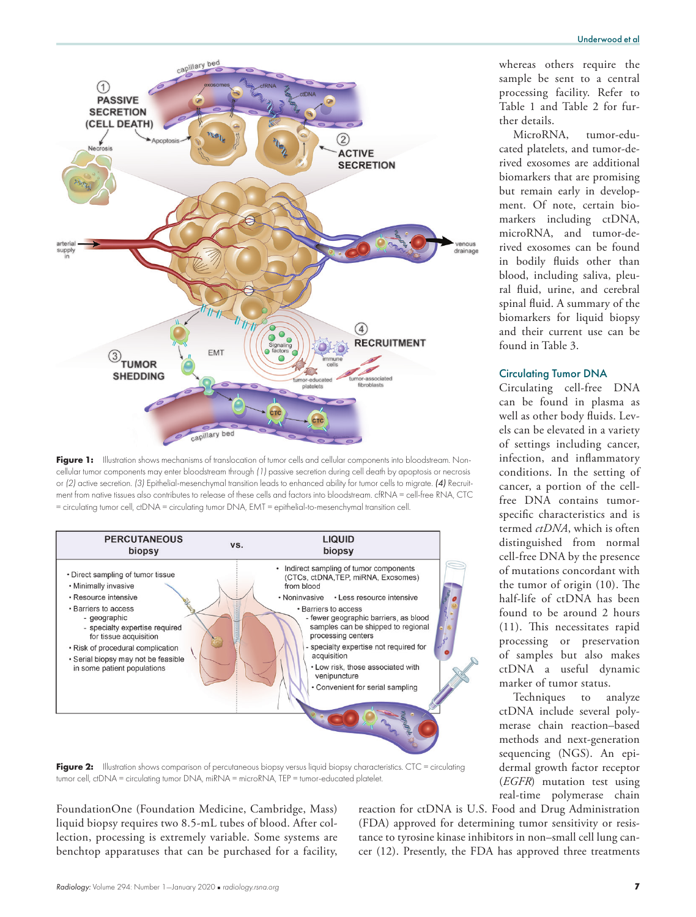

Figure 1: Illustration shows mechanisms of translocation of tumor cells and cellular components into bloodstream. Noncellular tumor components may enter bloodstream through *(1)* passive secretion during cell death by apoptosis or necrosis or *(2)* active secretion. *(3)* Epithelial-mesenchymal transition leads to enhanced ability for tumor cells to migrate. *(4)* Recruitment from native tissues also contributes to release of these cells and factors into bloodstream. cfRNA = cell-free RNA, CTC = circulating tumor cell, ctDNA = circulating tumor DNA, EMT = epithelial-to-mesenchymal transition cell.



Figure 2: Illustration shows comparison of percutaneous biopsy versus liquid biopsy characteristics. CTC = circulating tumor cell, ctDNA = circulating tumor DNA, miRNA = microRNA, TEP = tumor-educated platelet.

FoundationOne (Foundation Medicine, Cambridge, Mass) liquid biopsy requires two 8.5-mL tubes of blood. After collection, processing is extremely variable. Some systems are benchtop apparatuses that can be purchased for a facility,

reaction for ctDNA is U.S. Food and Drug Administration (FDA) approved for determining tumor sensitivity or resistance to tyrosine kinase inhibitors in non–small cell lung cancer (12). Presently, the FDA has approved three treatments

whereas others require the sample be sent to a central processing facility. Refer to Table 1 and Table 2 for further details.

MicroRNA, tumor-educated platelets, and tumor-derived exosomes are additional biomarkers that are promising but remain early in development. Of note, certain biomarkers including ctDNA, microRNA, and tumor-derived exosomes can be found in bodily fluids other than blood, including saliva, pleural fluid, urine, and cerebral spinal fluid. A summary of the biomarkers for liquid biopsy and their current use can be found in Table 3.

## Circulating Tumor DNA

Circulating cell-free DNA can be found in plasma as well as other body fluids. Levels can be elevated in a variety of settings including cancer, infection, and inflammatory conditions. In the setting of cancer, a portion of the cellfree DNA contains tumorspecific characteristics and is termed *ctDNA*, which is often distinguished from normal cell-free DNA by the presence of mutations concordant with the tumor of origin (10). The half-life of ctDNA has been found to be around 2 hours (11). This necessitates rapid processing or preservation of samples but also makes ctDNA a useful dynamic marker of tumor status.

Techniques to analyze ctDNA include several polymerase chain reaction–based methods and next-generation sequencing (NGS). An epidermal growth factor receptor (*EGFR*) mutation test using real-time polymerase chain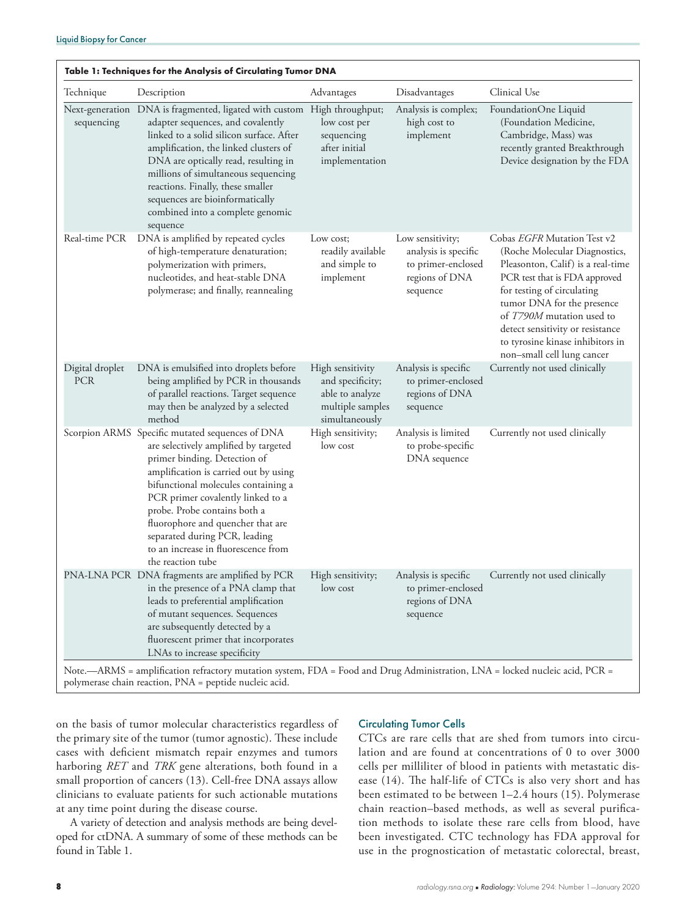|                               | Table 1: Techniques for the Analysis of Circulating Tumor DNA                                                                                                                                                                                                                                                                                                                                                   |                                                                                               |                                                                                              |                                                                                                                                                                                                                                                                                                                                   |  |  |  |  |
|-------------------------------|-----------------------------------------------------------------------------------------------------------------------------------------------------------------------------------------------------------------------------------------------------------------------------------------------------------------------------------------------------------------------------------------------------------------|-----------------------------------------------------------------------------------------------|----------------------------------------------------------------------------------------------|-----------------------------------------------------------------------------------------------------------------------------------------------------------------------------------------------------------------------------------------------------------------------------------------------------------------------------------|--|--|--|--|
| Technique                     | Description                                                                                                                                                                                                                                                                                                                                                                                                     | Advantages                                                                                    | Disadvantages                                                                                | Clinical Use                                                                                                                                                                                                                                                                                                                      |  |  |  |  |
| sequencing                    | Next-generation DNA is fragmented, ligated with custom High throughput;<br>adapter sequences, and covalently<br>linked to a solid silicon surface. After<br>amplification, the linked clusters of<br>DNA are optically read, resulting in<br>millions of simultaneous sequencing<br>reactions. Finally, these smaller<br>sequences are bioinformatically<br>combined into a complete genomic<br>sequence        | low cost per<br>sequencing<br>after initial<br>implementation                                 | Analysis is complex;<br>high cost to<br>implement                                            | FoundationOne Liquid<br>(Foundation Medicine,<br>Cambridge, Mass) was<br>recently granted Breakthrough<br>Device designation by the FDA                                                                                                                                                                                           |  |  |  |  |
| Real-time PCR                 | DNA is amplified by repeated cycles<br>of high-temperature denaturation;<br>polymerization with primers,<br>nucleotides, and heat-stable DNA<br>polymerase; and finally, reannealing                                                                                                                                                                                                                            | Low cost;<br>readily available<br>and simple to<br>implement                                  | Low sensitivity;<br>analysis is specific<br>to primer-enclosed<br>regions of DNA<br>sequence | Cobas EGFR Mutation Test v2<br>(Roche Molecular Diagnostics,<br>Pleasonton, Calif) is a real-time<br>PCR test that is FDA approved<br>for testing of circulating<br>tumor DNA for the presence<br>of T790M mutation used to<br>detect sensitivity or resistance<br>to tyrosine kinase inhibitors in<br>non-small cell lung cancer |  |  |  |  |
| Digital droplet<br><b>PCR</b> | DNA is emulsified into droplets before<br>being amplified by PCR in thousands<br>of parallel reactions. Target sequence<br>may then be analyzed by a selected<br>method                                                                                                                                                                                                                                         | High sensitivity<br>and specificity;<br>able to analyze<br>multiple samples<br>simultaneously | Analysis is specific<br>to primer-enclosed<br>regions of DNA<br>sequence                     | Currently not used clinically                                                                                                                                                                                                                                                                                                     |  |  |  |  |
|                               | Scorpion ARMS Specific mutated sequences of DNA<br>are selectively amplified by targeted<br>primer binding. Detection of<br>amplification is carried out by using<br>bifunctional molecules containing a<br>PCR primer covalently linked to a<br>probe. Probe contains both a<br>fluorophore and quencher that are<br>separated during PCR, leading<br>to an increase in fluorescence from<br>the reaction tube | High sensitivity;<br>low cost                                                                 | Analysis is limited<br>to probe-specific<br>DNA sequence                                     | Currently not used clinically                                                                                                                                                                                                                                                                                                     |  |  |  |  |
|                               | PNA-LNA PCR DNA fragments are amplified by PCR<br>in the presence of a PNA clamp that<br>leads to preferential amplification<br>of mutant sequences. Sequences<br>are subsequently detected by a<br>fluorescent primer that incorporates<br>LNAs to increase specificity                                                                                                                                        | High sensitivity;<br>low cost                                                                 | Analysis is specific<br>to primer-enclosed<br>regions of DNA<br>sequence                     | Currently not used clinically                                                                                                                                                                                                                                                                                                     |  |  |  |  |

Note.—ARMS = amplification refractory mutation system, FDA = Food and Drug Administration, LNA = locked nucleic acid, PCR = polymerase chain reaction, PNA = peptide nucleic acid.

on the basis of tumor molecular characteristics regardless of the primary site of the tumor (tumor agnostic). These include cases with deficient mismatch repair enzymes and tumors harboring *RET* and *TRK* gene alterations, both found in a small proportion of cancers (13). Cell-free DNA assays allow clinicians to evaluate patients for such actionable mutations at any time point during the disease course.

A variety of detection and analysis methods are being developed for ctDNA. A summary of some of these methods can be found in Table 1.

## Circulating Tumor Cells

CTCs are rare cells that are shed from tumors into circulation and are found at concentrations of 0 to over 3000 cells per milliliter of blood in patients with metastatic disease (14). The half-life of CTCs is also very short and has been estimated to be between 1–2.4 hours (15). Polymerase chain reaction–based methods, as well as several purification methods to isolate these rare cells from blood, have been investigated. CTC technology has FDA approval for use in the prognostication of metastatic colorectal, breast,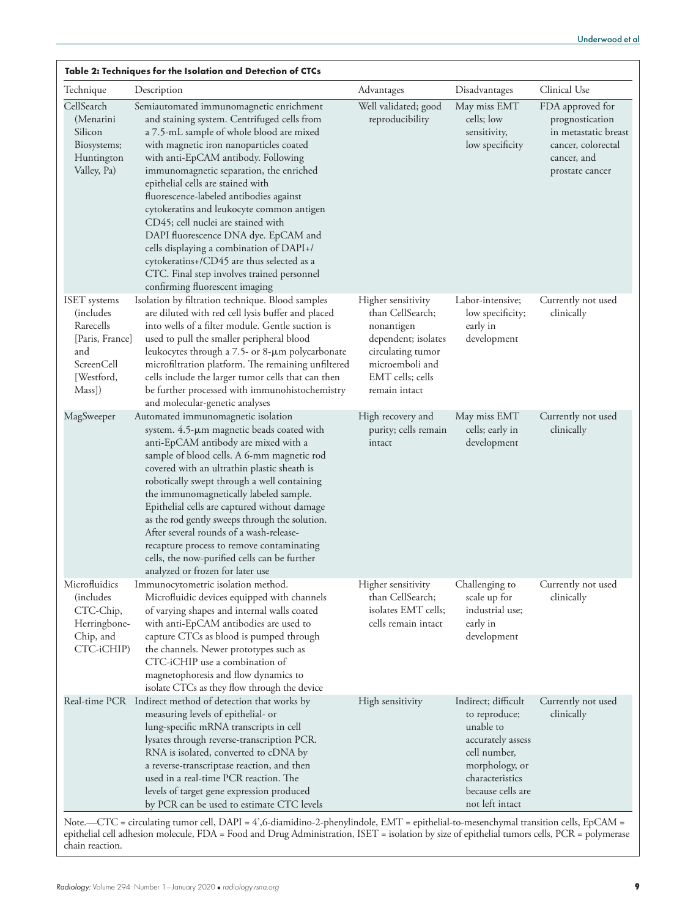| Table 2: Techniques for the Isolation and Detection of CTCs                                                           |                                                                                                                                                                                                                                                                                                                                                                                                                                                                                                                                                                                                                                                     |                                                                                                                                                          |                                                                                                                                                                     |                                                                                                                     |  |  |  |
|-----------------------------------------------------------------------------------------------------------------------|-----------------------------------------------------------------------------------------------------------------------------------------------------------------------------------------------------------------------------------------------------------------------------------------------------------------------------------------------------------------------------------------------------------------------------------------------------------------------------------------------------------------------------------------------------------------------------------------------------------------------------------------------------|----------------------------------------------------------------------------------------------------------------------------------------------------------|---------------------------------------------------------------------------------------------------------------------------------------------------------------------|---------------------------------------------------------------------------------------------------------------------|--|--|--|
| Technique                                                                                                             | Description                                                                                                                                                                                                                                                                                                                                                                                                                                                                                                                                                                                                                                         | Advantages                                                                                                                                               | Disadvantages                                                                                                                                                       | Clinical Use                                                                                                        |  |  |  |
| CellSearch<br>(Menarini<br>Silicon<br>Biosystems;<br>Huntington<br>Valley, Pa)                                        | Semiautomated immunomagnetic enrichment<br>and staining system. Centrifuged cells from<br>a 7.5-mL sample of whole blood are mixed<br>with magnetic iron nanoparticles coated<br>with anti-EpCAM antibody. Following<br>immunomagnetic separation, the enriched<br>epithelial cells are stained with<br>fluorescence-labeled antibodies against<br>cytokeratins and leukocyte common antigen<br>CD45; cell nuclei are stained with<br>DAPI fluorescence DNA dye. EpCAM and<br>cells displaying a combination of DAPI+/<br>cytokeratins+/CD45 are thus selected as a<br>CTC. Final step involves trained personnel<br>confirming fluorescent imaging | Well validated; good<br>reproducibility                                                                                                                  | May miss EMT<br>cells; low<br>sensitivity,<br>low specificity                                                                                                       | FDA approved for<br>prognostication<br>in metastatic breast<br>cancer, colorectal<br>cancer, and<br>prostate cancer |  |  |  |
| <b>ISET</b> systems<br><i>(includes)</i><br>Rarecells<br>[Paris, France]<br>and<br>ScreenCell<br>[Westford,<br>Mass]) | Isolation by filtration technique. Blood samples<br>are diluted with red cell lysis buffer and placed<br>into wells of a filter module. Gentle suction is<br>used to pull the smaller peripheral blood<br>leukocytes through a 7.5- or 8-µm polycarbonate<br>microfiltration platform. The remaining unfiltered<br>cells include the larger tumor cells that can then<br>be further processed with immunohistochemistry<br>and molecular-genetic analyses                                                                                                                                                                                           | Higher sensitivity<br>than CellSearch;<br>nonantigen<br>dependent; isolates<br>circulating tumor<br>microemboli and<br>EMT cells; cells<br>remain intact | Labor-intensive;<br>low specificity;<br>early in<br>development                                                                                                     | Currently not used<br>clinically                                                                                    |  |  |  |
| MagSweeper                                                                                                            | Automated immunomagnetic isolation<br>system. 4.5-µm magnetic beads coated with<br>anti-EpCAM antibody are mixed with a<br>sample of blood cells. A 6-mm magnetic rod<br>covered with an ultrathin plastic sheath is<br>robotically swept through a well containing<br>the immunomagnetically labeled sample.<br>Epithelial cells are captured without damage<br>as the rod gently sweeps through the solution.<br>After several rounds of a wash-release-<br>recapture process to remove contaminating<br>cells, the now-purified cells can be further<br>analyzed or frozen for later use                                                         | High recovery and<br>purity; cells remain<br>intact                                                                                                      | May miss EMT<br>cells; early in<br>development                                                                                                                      | Currently not used<br>clinically                                                                                    |  |  |  |
| Microfluidics<br><i>(includes)</i><br>CTC-Chip,<br>Herringbone-<br>Chip, and<br>CTC-iCHIP)                            | Immunocytometric isolation method.<br>Microfluidic devices equipped with channels<br>of varying shapes and internal walls coated<br>with anti-EpCAM antibodies are used to<br>capture CTCs as blood is pumped through<br>the channels. Newer prototypes such as<br>CTC-iCHIP use a combination of<br>magnetophoresis and flow dynamics to<br>isolate CTCs as they flow through the device                                                                                                                                                                                                                                                           | Higher sensitivity<br>than CellSearch;<br>isolates EMT cells;<br>cells remain intact                                                                     | Challenging to<br>scale up for<br>industrial use;<br>early in<br>development                                                                                        | Currently not used<br>clinically                                                                                    |  |  |  |
|                                                                                                                       | Real-time PCR Indirect method of detection that works by<br>measuring levels of epithelial- or<br>lung-specific mRNA transcripts in cell<br>lysates through reverse-transcription PCR.<br>RNA is isolated, converted to cDNA by<br>a reverse-transcriptase reaction, and then<br>used in a real-time PCR reaction. The<br>levels of target gene expression produced<br>by PCR can be used to estimate CTC levels                                                                                                                                                                                                                                    | High sensitivity                                                                                                                                         | Indirect; difficult<br>to reproduce;<br>unable to<br>accurately assess<br>cell number,<br>morphology, or<br>characteristics<br>because cells are<br>not left intact | Currently not used<br>clinically                                                                                    |  |  |  |

Note.—CTC = circulating tumor cell, DAPI = 4',6-diamidino-2-phenylindole, EMT = epithelial-to-mesenchymal transition cells, EpCAM = epithelial cell adhesion molecule, FDA = Food and Drug Administration, ISET = isolation by size of epithelial tumors cells, PCR = polymerase chain reaction.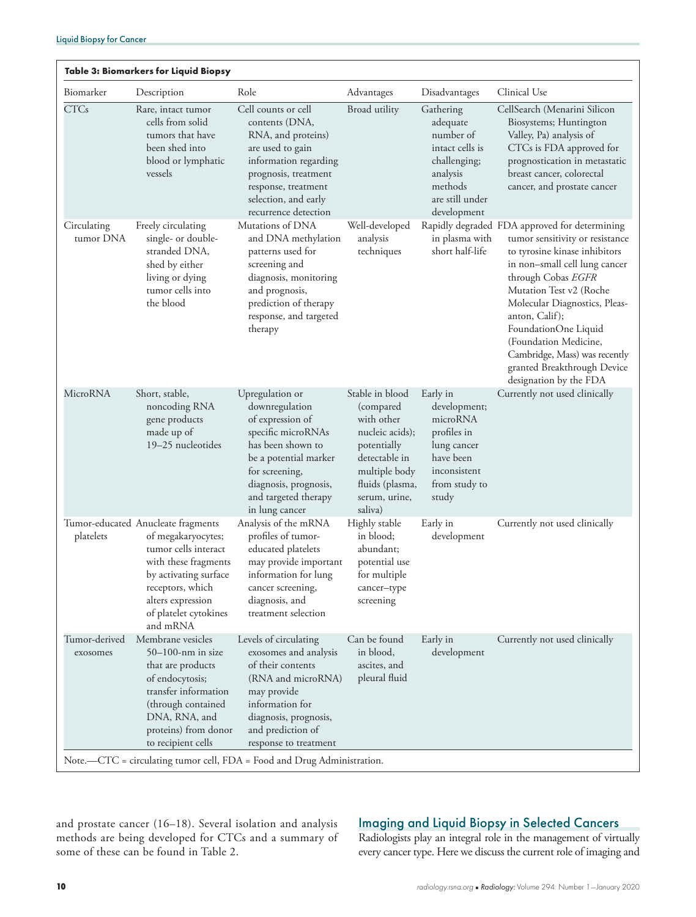| Biomarker                 | Description                                                                                                                                                                                                     | Role                                                                                                                                                                                                                                                                          | Advantages                                                                                                                                                     | Disadvantages                                                                                                                  | Clinical Use                                                                                                                                                                                                                                                                                                                                                                                      |
|---------------------------|-----------------------------------------------------------------------------------------------------------------------------------------------------------------------------------------------------------------|-------------------------------------------------------------------------------------------------------------------------------------------------------------------------------------------------------------------------------------------------------------------------------|----------------------------------------------------------------------------------------------------------------------------------------------------------------|--------------------------------------------------------------------------------------------------------------------------------|---------------------------------------------------------------------------------------------------------------------------------------------------------------------------------------------------------------------------------------------------------------------------------------------------------------------------------------------------------------------------------------------------|
| <b>CTCs</b>               | Rare, intact tumor<br>cells from solid<br>tumors that have<br>been shed into<br>blood or lymphatic<br>vessels                                                                                                   | Cell counts or cell<br>contents (DNA,<br>RNA, and proteins)<br>are used to gain<br>information regarding<br>prognosis, treatment<br>response, treatment<br>selection, and early<br>recurrence detection                                                                       | Broad utility                                                                                                                                                  | Gathering<br>adequate<br>number of<br>intact cells is<br>challenging;<br>analysis<br>methods<br>are still under<br>development | CellSearch (Menarini Silicon<br>Biosystems; Huntington<br>Valley, Pa) analysis of<br>CTCs is FDA approved for<br>prognostication in metastatic<br>breast cancer, colorectal<br>cancer, and prostate cancer                                                                                                                                                                                        |
| Circulating<br>tumor DNA  | Freely circulating<br>single- or double-<br>stranded DNA,<br>shed by either<br>living or dying<br>tumor cells into<br>the blood                                                                                 | Mutations of DNA<br>and DNA methylation<br>patterns used for<br>screening and<br>diagnosis, monitoring<br>and prognosis,<br>prediction of therapy<br>response, and targeted<br>therapy                                                                                        | Well-developed<br>analysis<br>techniques                                                                                                                       | in plasma with<br>short half-life                                                                                              | Rapidly degraded FDA approved for determining<br>tumor sensitivity or resistance<br>to tyrosine kinase inhibitors<br>in non-small cell lung cancer<br>through Cobas EGFR<br>Mutation Test v2 (Roche<br>Molecular Diagnostics, Pleas-<br>anton, Calif);<br>FoundationOne Liquid<br>(Foundation Medicine,<br>Cambridge, Mass) was recently<br>granted Breakthrough Device<br>designation by the FDA |
| MicroRNA                  | Short, stable,<br>noncoding RNA<br>gene products<br>made up of<br>19-25 nucleotides                                                                                                                             | Upregulation or<br>downregulation<br>of expression of<br>specific microRNAs<br>has been shown to<br>be a potential marker<br>for screening,<br>diagnosis, prognosis,<br>and targeted therapy<br>in lung cancer                                                                | Stable in blood<br>(compared)<br>with other<br>nucleic acids);<br>potentially<br>detectable in<br>multiple body<br>fluids (plasma,<br>serum, urine,<br>saliva) | Early in<br>development;<br>microRNA<br>profiles in<br>lung cancer<br>have been<br>inconsistent<br>from study to<br>study      | Currently not used clinically                                                                                                                                                                                                                                                                                                                                                                     |
| platelets                 | Tumor-educated Anucleate fragments<br>of megakaryocytes;<br>tumor cells interact<br>with these fragments<br>by activating surface<br>receptors, which<br>alters expression<br>of platelet cytokines<br>and mRNA | Analysis of the mRNA<br>profiles of tumor-<br>educated platelets<br>may provide important<br>information for lung<br>cancer screening,<br>diagnosis, and<br>treatment selection                                                                                               | Highly stable<br>in blood;<br>abundant;<br>potential use<br>for multiple<br>cancer-type<br>screening                                                           | Early in<br>development                                                                                                        | Currently not used clinically                                                                                                                                                                                                                                                                                                                                                                     |
| Tumor-derived<br>exosomes | Membrane vesicles<br>$50-100$ -nm in size<br>that are products<br>of endocytosis;<br>transfer information<br>(through contained<br>DNA, RNA, and<br>proteins) from donor<br>to recipient cells                  | Levels of circulating<br>exosomes and analysis<br>of their contents<br>(RNA and microRNA)<br>may provide<br>information for<br>diagnosis, prognosis,<br>and prediction of<br>response to treatment<br>Note.—CTC = circulating tumor cell, FDA = Food and Drug Administration. | Can be found<br>in blood,<br>ascites, and<br>pleural fluid                                                                                                     | Early in<br>development                                                                                                        | Currently not used clinically                                                                                                                                                                                                                                                                                                                                                                     |

and prostate cancer (16–18). Several isolation and analysis methods are being developed for CTCs and a summary of some of these can be found in Table 2.

## Imaging and Liquid Biopsy in Selected Cancers

Radiologists play an integral role in the management of virtually every cancer type. Here we discuss the current role of imaging and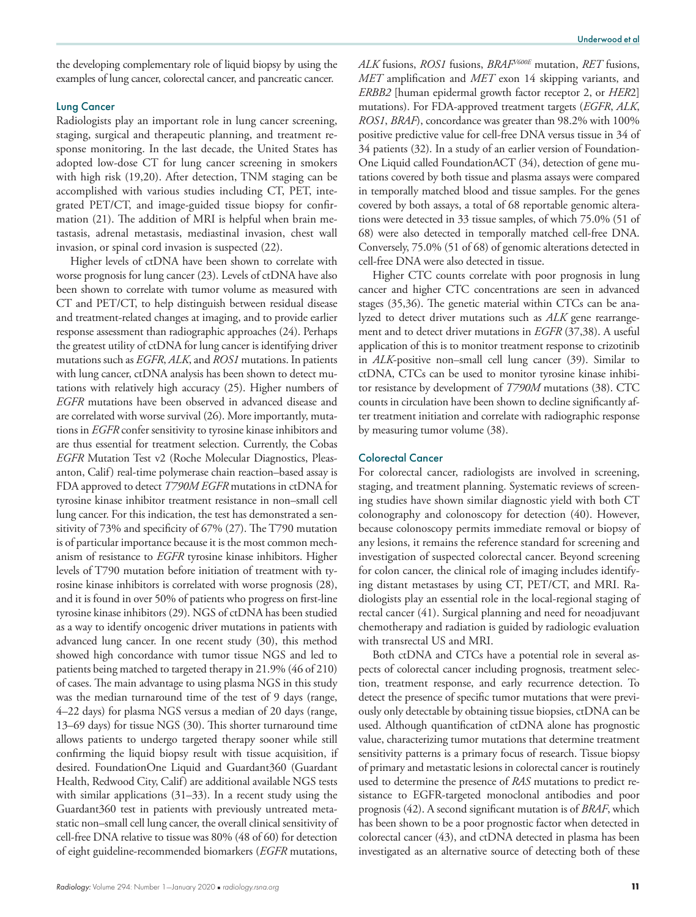the developing complementary role of liquid biopsy by using the examples of lung cancer, colorectal cancer, and pancreatic cancer.

## Lung Cancer

Radiologists play an important role in lung cancer screening, staging, surgical and therapeutic planning, and treatment response monitoring. In the last decade, the United States has adopted low-dose CT for lung cancer screening in smokers with high risk (19,20). After detection, TNM staging can be accomplished with various studies including CT, PET, integrated PET/CT, and image-guided tissue biopsy for confirmation (21). The addition of MRI is helpful when brain metastasis, adrenal metastasis, mediastinal invasion, chest wall invasion, or spinal cord invasion is suspected (22).

Higher levels of ctDNA have been shown to correlate with worse prognosis for lung cancer (23). Levels of ctDNA have also been shown to correlate with tumor volume as measured with CT and PET/CT, to help distinguish between residual disease and treatment-related changes at imaging, and to provide earlier response assessment than radiographic approaches (24). Perhaps the greatest utility of ctDNA for lung cancer is identifying driver mutations such as *EGFR*, *ALK*, and *ROS1* mutations. In patients with lung cancer, ctDNA analysis has been shown to detect mutations with relatively high accuracy (25). Higher numbers of *EGFR* mutations have been observed in advanced disease and are correlated with worse survival (26). More importantly, mutations in *EGFR* confer sensitivity to tyrosine kinase inhibitors and are thus essential for treatment selection. Currently, the Cobas *EGFR* Mutation Test v2 (Roche Molecular Diagnostics, Pleasanton, Calif) real-time polymerase chain reaction–based assay is FDA approved to detect *T790M EGFR* mutations in ctDNA for tyrosine kinase inhibitor treatment resistance in non–small cell lung cancer. For this indication, the test has demonstrated a sensitivity of 73% and specificity of 67% (27). The T790 mutation is of particular importance because it is the most common mechanism of resistance to *EGFR* tyrosine kinase inhibitors. Higher levels of T790 mutation before initiation of treatment with tyrosine kinase inhibitors is correlated with worse prognosis (28), and it is found in over 50% of patients who progress on first-line tyrosine kinase inhibitors (29). NGS of ctDNA has been studied as a way to identify oncogenic driver mutations in patients with advanced lung cancer. In one recent study (30), this method showed high concordance with tumor tissue NGS and led to patients being matched to targeted therapy in 21.9% (46 of 210) of cases. The main advantage to using plasma NGS in this study was the median turnaround time of the test of 9 days (range, 4–22 days) for plasma NGS versus a median of 20 days (range, 13–69 days) for tissue NGS (30). This shorter turnaround time allows patients to undergo targeted therapy sooner while still confirming the liquid biopsy result with tissue acquisition, if desired. FoundationOne Liquid and Guardant360 (Guardant Health, Redwood City, Calif) are additional available NGS tests with similar applications (31–33). In a recent study using the Guardant360 test in patients with previously untreated metastatic non–small cell lung cancer, the overall clinical sensitivity of cell-free DNA relative to tissue was 80% (48 of 60) for detection of eight guideline-recommended biomarkers (*EGFR* mutations,

*ALK* fusions, *ROS1* fusions, *BRAFV600E* mutation, *RET* fusions, *MET* amplification and *MET* exon 14 skipping variants, and *ERBB2* [human epidermal growth factor receptor 2, or *HER*2] mutations). For FDA-approved treatment targets (*EGFR*, *ALK*, *ROS1*, *BRAF*), concordance was greater than 98.2% with 100% positive predictive value for cell-free DNA versus tissue in 34 of 34 patients (32). In a study of an earlier version of Foundation-One Liquid called FoundationACT (34), detection of gene mutations covered by both tissue and plasma assays were compared in temporally matched blood and tissue samples. For the genes covered by both assays, a total of 68 reportable genomic alterations were detected in 33 tissue samples, of which 75.0% (51 of 68) were also detected in temporally matched cell-free DNA. Conversely, 75.0% (51 of 68) of genomic alterations detected in cell-free DNA were also detected in tissue.

Higher CTC counts correlate with poor prognosis in lung cancer and higher CTC concentrations are seen in advanced stages (35,36). The genetic material within CTCs can be analyzed to detect driver mutations such as *ALK* gene rearrangement and to detect driver mutations in *EGFR* (37,38). A useful application of this is to monitor treatment response to crizotinib in *ALK*-positive non–small cell lung cancer (39). Similar to ctDNA, CTCs can be used to monitor tyrosine kinase inhibitor resistance by development of *T790M* mutations (38). CTC counts in circulation have been shown to decline significantly after treatment initiation and correlate with radiographic response by measuring tumor volume (38).

## Colorectal Cancer

For colorectal cancer, radiologists are involved in screening, staging, and treatment planning. Systematic reviews of screening studies have shown similar diagnostic yield with both CT colonography and colonoscopy for detection (40). However, because colonoscopy permits immediate removal or biopsy of any lesions, it remains the reference standard for screening and investigation of suspected colorectal cancer. Beyond screening for colon cancer, the clinical role of imaging includes identifying distant metastases by using CT, PET/CT, and MRI. Radiologists play an essential role in the local-regional staging of rectal cancer (41). Surgical planning and need for neoadjuvant chemotherapy and radiation is guided by radiologic evaluation with transrectal US and MRI.

Both ctDNA and CTCs have a potential role in several aspects of colorectal cancer including prognosis, treatment selection, treatment response, and early recurrence detection. To detect the presence of specific tumor mutations that were previously only detectable by obtaining tissue biopsies, ctDNA can be used. Although quantification of ctDNA alone has prognostic value, characterizing tumor mutations that determine treatment sensitivity patterns is a primary focus of research. Tissue biopsy of primary and metastatic lesions in colorectal cancer is routinely used to determine the presence of *RAS* mutations to predict resistance to EGFR-targeted monoclonal antibodies and poor prognosis (42). A second significant mutation is of *BRAF*, which has been shown to be a poor prognostic factor when detected in colorectal cancer (43), and ctDNA detected in plasma has been investigated as an alternative source of detecting both of these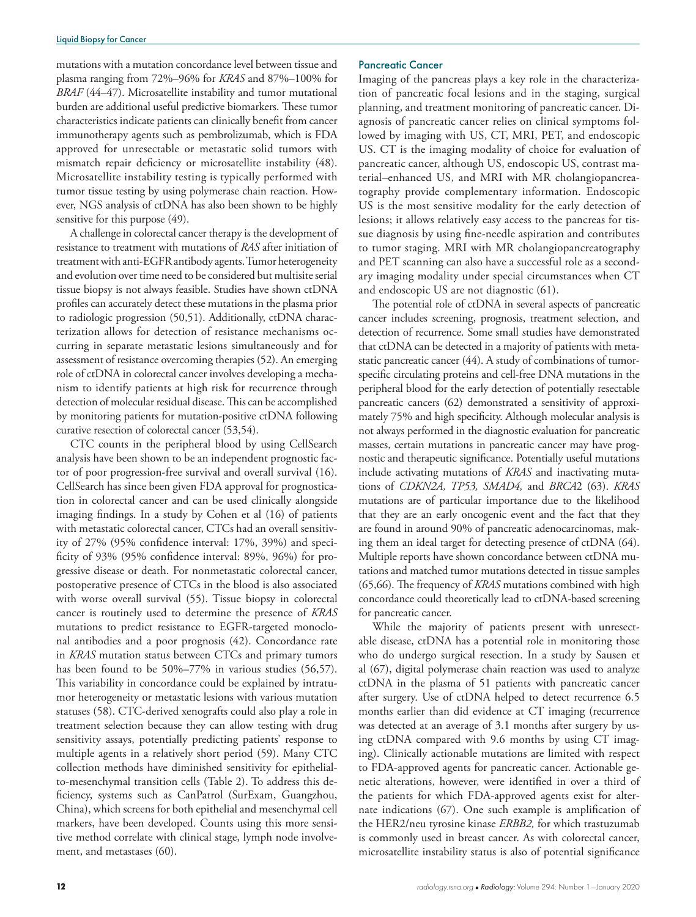mutations with a mutation concordance level between tissue and plasma ranging from 72%–96% for *KRAS* and 87%–100% for *BRAF* (44–47). Microsatellite instability and tumor mutational burden are additional useful predictive biomarkers. These tumor characteristics indicate patients can clinically benefit from cancer immunotherapy agents such as pembrolizumab, which is FDA approved for unresectable or metastatic solid tumors with mismatch repair deficiency or microsatellite instability (48). Microsatellite instability testing is typically performed with tumor tissue testing by using polymerase chain reaction. However, NGS analysis of ctDNA has also been shown to be highly sensitive for this purpose (49).

A challenge in colorectal cancer therapy is the development of resistance to treatment with mutations of *RAS* after initiation of treatment with anti-EGFR antibody agents. Tumor heterogeneity and evolution over time need to be considered but multisite serial tissue biopsy is not always feasible. Studies have shown ctDNA profiles can accurately detect these mutations in the plasma prior to radiologic progression (50,51). Additionally, ctDNA characterization allows for detection of resistance mechanisms occurring in separate metastatic lesions simultaneously and for assessment of resistance overcoming therapies (52). An emerging role of ctDNA in colorectal cancer involves developing a mechanism to identify patients at high risk for recurrence through detection of molecular residual disease. This can be accomplished by monitoring patients for mutation-positive ctDNA following curative resection of colorectal cancer (53,54).

CTC counts in the peripheral blood by using CellSearch analysis have been shown to be an independent prognostic factor of poor progression-free survival and overall survival (16). CellSearch has since been given FDA approval for prognostication in colorectal cancer and can be used clinically alongside imaging findings. In a study by Cohen et al (16) of patients with metastatic colorectal cancer, CTCs had an overall sensitivity of 27% (95% confidence interval: 17%, 39%) and specificity of 93% (95% confidence interval: 89%, 96%) for progressive disease or death. For nonmetastatic colorectal cancer, postoperative presence of CTCs in the blood is also associated with worse overall survival (55). Tissue biopsy in colorectal cancer is routinely used to determine the presence of *KRAS* mutations to predict resistance to EGFR-targeted monoclonal antibodies and a poor prognosis (42). Concordance rate in *KRAS* mutation status between CTCs and primary tumors has been found to be 50%–77% in various studies (56,57). This variability in concordance could be explained by intratumor heterogeneity or metastatic lesions with various mutation statuses (58). CTC-derived xenografts could also play a role in treatment selection because they can allow testing with drug sensitivity assays, potentially predicting patients' response to multiple agents in a relatively short period (59). Many CTC collection methods have diminished sensitivity for epithelialto-mesenchymal transition cells (Table 2). To address this deficiency, systems such as CanPatrol (SurExam, Guangzhou, China), which screens for both epithelial and mesenchymal cell markers, have been developed. Counts using this more sensitive method correlate with clinical stage, lymph node involvement, and metastases (60).

## Pancreatic Cancer

Imaging of the pancreas plays a key role in the characterization of pancreatic focal lesions and in the staging, surgical planning, and treatment monitoring of pancreatic cancer. Diagnosis of pancreatic cancer relies on clinical symptoms followed by imaging with US, CT, MRI, PET, and endoscopic US. CT is the imaging modality of choice for evaluation of pancreatic cancer, although US, endoscopic US, contrast material–enhanced US, and MRI with MR cholangiopancreatography provide complementary information. Endoscopic US is the most sensitive modality for the early detection of lesions; it allows relatively easy access to the pancreas for tissue diagnosis by using fine-needle aspiration and contributes to tumor staging. MRI with MR cholangiopancreatography and PET scanning can also have a successful role as a secondary imaging modality under special circumstances when CT and endoscopic US are not diagnostic (61).

The potential role of ctDNA in several aspects of pancreatic cancer includes screening, prognosis, treatment selection, and detection of recurrence. Some small studies have demonstrated that ctDNA can be detected in a majority of patients with metastatic pancreatic cancer (44). A study of combinations of tumorspecific circulating proteins and cell-free DNA mutations in the peripheral blood for the early detection of potentially resectable pancreatic cancers (62) demonstrated a sensitivity of approximately 75% and high specificity. Although molecular analysis is not always performed in the diagnostic evaluation for pancreatic masses, certain mutations in pancreatic cancer may have prognostic and therapeutic significance. Potentially useful mutations include activating mutations of *KRAS* and inactivating mutations of *CDKN2A, TP53, SMAD4,* and *BRCA*2 (63). *KRAS* mutations are of particular importance due to the likelihood that they are an early oncogenic event and the fact that they are found in around 90% of pancreatic adenocarcinomas, making them an ideal target for detecting presence of ctDNA (64). Multiple reports have shown concordance between ctDNA mutations and matched tumor mutations detected in tissue samples (65,66). The frequency of *KRAS* mutations combined with high concordance could theoretically lead to ctDNA-based screening for pancreatic cancer.

While the majority of patients present with unresectable disease, ctDNA has a potential role in monitoring those who do undergo surgical resection. In a study by Sausen et al (67), digital polymerase chain reaction was used to analyze ctDNA in the plasma of 51 patients with pancreatic cancer after surgery. Use of ctDNA helped to detect recurrence 6.5 months earlier than did evidence at CT imaging (recurrence was detected at an average of 3.1 months after surgery by using ctDNA compared with 9.6 months by using CT imaging). Clinically actionable mutations are limited with respect to FDA-approved agents for pancreatic cancer. Actionable genetic alterations, however, were identified in over a third of the patients for which FDA-approved agents exist for alternate indications (67). One such example is amplification of the HER2/neu tyrosine kinase *ERBB2,* for which trastuzumab is commonly used in breast cancer. As with colorectal cancer, microsatellite instability status is also of potential significance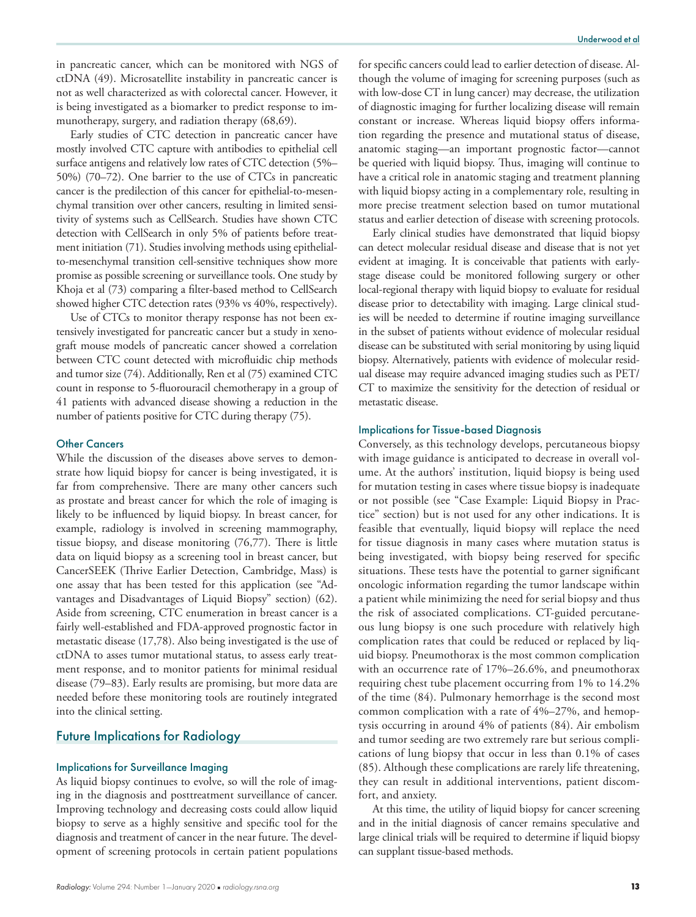in pancreatic cancer, which can be monitored with NGS of ctDNA (49). Microsatellite instability in pancreatic cancer is not as well characterized as with colorectal cancer. However, it is being investigated as a biomarker to predict response to immunotherapy, surgery, and radiation therapy (68,69).

Early studies of CTC detection in pancreatic cancer have mostly involved CTC capture with antibodies to epithelial cell surface antigens and relatively low rates of CTC detection (5%– 50%) (70–72). One barrier to the use of CTCs in pancreatic cancer is the predilection of this cancer for epithelial-to-mesenchymal transition over other cancers, resulting in limited sensitivity of systems such as CellSearch. Studies have shown CTC detection with CellSearch in only 5% of patients before treatment initiation (71). Studies involving methods using epithelialto-mesenchymal transition cell-sensitive techniques show more promise as possible screening or surveillance tools. One study by Khoja et al (73) comparing a filter-based method to CellSearch showed higher CTC detection rates (93% vs 40%, respectively).

Use of CTCs to monitor therapy response has not been extensively investigated for pancreatic cancer but a study in xenograft mouse models of pancreatic cancer showed a correlation between CTC count detected with microfluidic chip methods and tumor size (74). Additionally, Ren et al (75) examined CTC count in response to 5-fluorouracil chemotherapy in a group of 41 patients with advanced disease showing a reduction in the number of patients positive for CTC during therapy (75).

## Other Cancers

While the discussion of the diseases above serves to demonstrate how liquid biopsy for cancer is being investigated, it is far from comprehensive. There are many other cancers such as prostate and breast cancer for which the role of imaging is likely to be influenced by liquid biopsy. In breast cancer, for example, radiology is involved in screening mammography, tissue biopsy, and disease monitoring (76,77). There is little data on liquid biopsy as a screening tool in breast cancer, but CancerSEEK (Thrive Earlier Detection, Cambridge, Mass) is one assay that has been tested for this application (see "Advantages and Disadvantages of Liquid Biopsy" section) (62). Aside from screening, CTC enumeration in breast cancer is a fairly well-established and FDA-approved prognostic factor in metastatic disease (17,78). Also being investigated is the use of ctDNA to asses tumor mutational status, to assess early treatment response, and to monitor patients for minimal residual disease (79–83). Early results are promising, but more data are needed before these monitoring tools are routinely integrated into the clinical setting.

## Future Implications for Radiology

## Implications for Surveillance Imaging

As liquid biopsy continues to evolve, so will the role of imaging in the diagnosis and posttreatment surveillance of cancer. Improving technology and decreasing costs could allow liquid biopsy to serve as a highly sensitive and specific tool for the diagnosis and treatment of cancer in the near future. The development of screening protocols in certain patient populations

for specific cancers could lead to earlier detection of disease. Although the volume of imaging for screening purposes (such as with low-dose CT in lung cancer) may decrease, the utilization of diagnostic imaging for further localizing disease will remain constant or increase. Whereas liquid biopsy offers information regarding the presence and mutational status of disease, anatomic staging—an important prognostic factor—cannot be queried with liquid biopsy. Thus, imaging will continue to have a critical role in anatomic staging and treatment planning with liquid biopsy acting in a complementary role, resulting in more precise treatment selection based on tumor mutational status and earlier detection of disease with screening protocols.

Early clinical studies have demonstrated that liquid biopsy can detect molecular residual disease and disease that is not yet evident at imaging. It is conceivable that patients with earlystage disease could be monitored following surgery or other local-regional therapy with liquid biopsy to evaluate for residual disease prior to detectability with imaging. Large clinical studies will be needed to determine if routine imaging surveillance in the subset of patients without evidence of molecular residual disease can be substituted with serial monitoring by using liquid biopsy. Alternatively, patients with evidence of molecular residual disease may require advanced imaging studies such as PET/ CT to maximize the sensitivity for the detection of residual or metastatic disease.

## Implications for Tissue-based Diagnosis

Conversely, as this technology develops, percutaneous biopsy with image guidance is anticipated to decrease in overall volume. At the authors' institution, liquid biopsy is being used for mutation testing in cases where tissue biopsy is inadequate or not possible (see "Case Example: Liquid Biopsy in Practice" section) but is not used for any other indications. It is feasible that eventually, liquid biopsy will replace the need for tissue diagnosis in many cases where mutation status is being investigated, with biopsy being reserved for specific situations. These tests have the potential to garner significant oncologic information regarding the tumor landscape within a patient while minimizing the need for serial biopsy and thus the risk of associated complications. CT-guided percutaneous lung biopsy is one such procedure with relatively high complication rates that could be reduced or replaced by liquid biopsy. Pneumothorax is the most common complication with an occurrence rate of 17%–26.6%, and pneumothorax requiring chest tube placement occurring from 1% to 14.2% of the time (84). Pulmonary hemorrhage is the second most common complication with a rate of 4%–27%, and hemoptysis occurring in around 4% of patients (84). Air embolism and tumor seeding are two extremely rare but serious complications of lung biopsy that occur in less than 0.1% of cases (85). Although these complications are rarely life threatening, they can result in additional interventions, patient discomfort, and anxiety.

At this time, the utility of liquid biopsy for cancer screening and in the initial diagnosis of cancer remains speculative and large clinical trials will be required to determine if liquid biopsy can supplant tissue-based methods.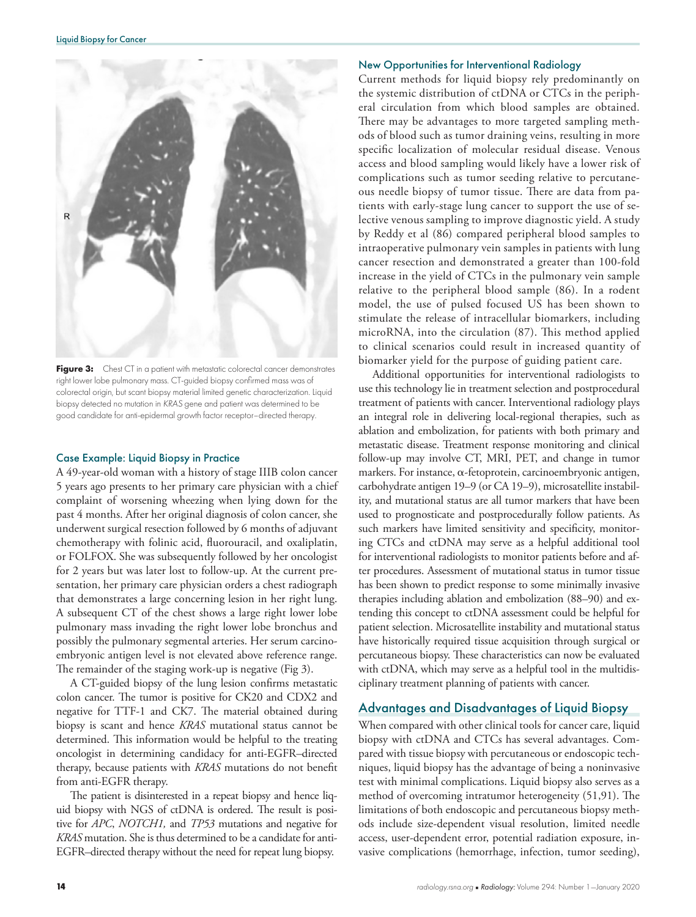

Figure 3: Chest CT in a patient with metastatic colorectal cancer demonstrates right lower lobe pulmonary mass. CT-guided biopsy confirmed mass was of colorectal origin, but scant biopsy material limited genetic characterization. Liquid biopsy detected no mutation in *KRAS* gene and patient was determined to be good candidate for anti-epidermal growth factor receptor–directed therapy.

## Case Example: Liquid Biopsy in Practice

A 49-year-old woman with a history of stage IIIB colon cancer 5 years ago presents to her primary care physician with a chief complaint of worsening wheezing when lying down for the past 4 months. After her original diagnosis of colon cancer, she underwent surgical resection followed by 6 months of adjuvant chemotherapy with folinic acid, fluorouracil, and oxaliplatin, or FOLFOX. She was subsequently followed by her oncologist for 2 years but was later lost to follow-up. At the current presentation, her primary care physician orders a chest radiograph that demonstrates a large concerning lesion in her right lung. A subsequent CT of the chest shows a large right lower lobe pulmonary mass invading the right lower lobe bronchus and possibly the pulmonary segmental arteries. Her serum carcinoembryonic antigen level is not elevated above reference range. The remainder of the staging work-up is negative (Fig 3).

A CT-guided biopsy of the lung lesion confirms metastatic colon cancer. The tumor is positive for CK20 and CDX2 and negative for TTF-1 and CK7. The material obtained during biopsy is scant and hence *KRAS* mutational status cannot be determined. This information would be helpful to the treating oncologist in determining candidacy for anti-EGFR–directed therapy, because patients with *KRAS* mutations do not benefit from anti-EGFR therapy.

The patient is disinterested in a repeat biopsy and hence liquid biopsy with NGS of ctDNA is ordered. The result is positive for *APC*, *NOTCH1,* and *TP53* mutations and negative for *KRAS* mutation. She is thus determined to be a candidate for anti-EGFR–directed therapy without the need for repeat lung biopsy.

## New Opportunities for Interventional Radiology

Current methods for liquid biopsy rely predominantly on the systemic distribution of ctDNA or CTCs in the peripheral circulation from which blood samples are obtained. There may be advantages to more targeted sampling methods of blood such as tumor draining veins, resulting in more specific localization of molecular residual disease. Venous access and blood sampling would likely have a lower risk of complications such as tumor seeding relative to percutaneous needle biopsy of tumor tissue. There are data from patients with early-stage lung cancer to support the use of selective venous sampling to improve diagnostic yield. A study by Reddy et al (86) compared peripheral blood samples to intraoperative pulmonary vein samples in patients with lung cancer resection and demonstrated a greater than 100-fold increase in the yield of CTCs in the pulmonary vein sample relative to the peripheral blood sample (86). In a rodent model, the use of pulsed focused US has been shown to stimulate the release of intracellular biomarkers, including microRNA, into the circulation (87). This method applied to clinical scenarios could result in increased quantity of biomarker yield for the purpose of guiding patient care.

Additional opportunities for interventional radiologists to use this technology lie in treatment selection and postprocedural treatment of patients with cancer. Interventional radiology plays an integral role in delivering local-regional therapies, such as ablation and embolization, for patients with both primary and metastatic disease. Treatment response monitoring and clinical follow-up may involve CT, MRI, PET, and change in tumor markers. For instance, a-fetoprotein, carcinoembryonic antigen, carbohydrate antigen 19–9 (or CA 19–9), microsatellite instability, and mutational status are all tumor markers that have been used to prognosticate and postprocedurally follow patients. As such markers have limited sensitivity and specificity, monitoring CTCs and ctDNA may serve as a helpful additional tool for interventional radiologists to monitor patients before and after procedures. Assessment of mutational status in tumor tissue has been shown to predict response to some minimally invasive therapies including ablation and embolization (88–90) and extending this concept to ctDNA assessment could be helpful for patient selection. Microsatellite instability and mutational status have historically required tissue acquisition through surgical or percutaneous biopsy. These characteristics can now be evaluated with ctDNA, which may serve as a helpful tool in the multidisciplinary treatment planning of patients with cancer.

## Advantages and Disadvantages of Liquid Biopsy

When compared with other clinical tools for cancer care, liquid biopsy with ctDNA and CTCs has several advantages. Compared with tissue biopsy with percutaneous or endoscopic techniques, liquid biopsy has the advantage of being a noninvasive test with minimal complications. Liquid biopsy also serves as a method of overcoming intratumor heterogeneity (51,91). The limitations of both endoscopic and percutaneous biopsy methods include size-dependent visual resolution, limited needle access, user-dependent error, potential radiation exposure, invasive complications (hemorrhage, infection, tumor seeding),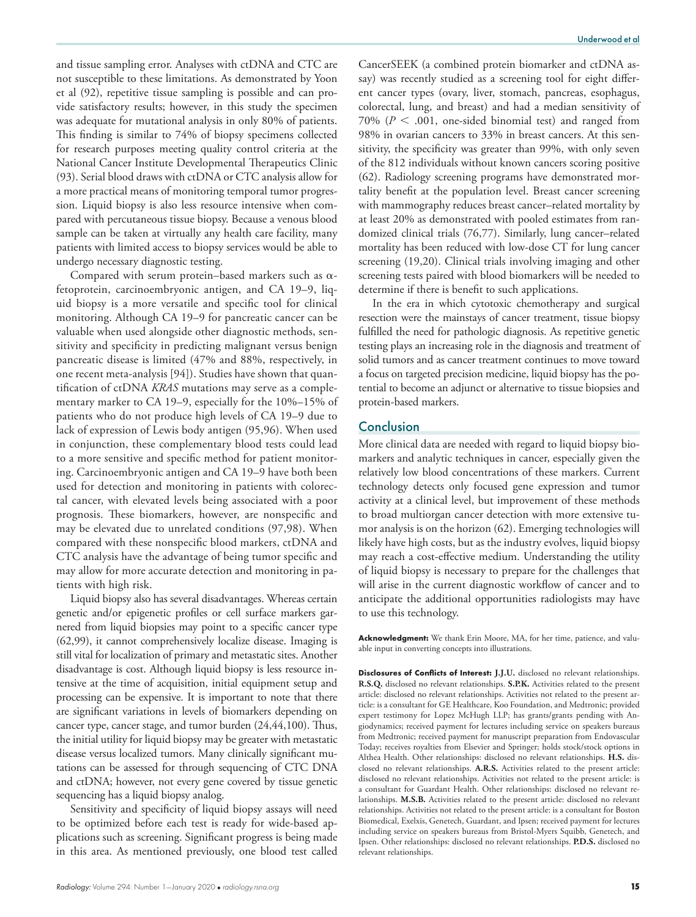and tissue sampling error. Analyses with ctDNA and CTC are not susceptible to these limitations. As demonstrated by Yoon et al (92), repetitive tissue sampling is possible and can provide satisfactory results; however, in this study the specimen was adequate for mutational analysis in only 80% of patients. This finding is similar to 74% of biopsy specimens collected for research purposes meeting quality control criteria at the National Cancer Institute Developmental Therapeutics Clinic (93). Serial blood draws with ctDNA or CTC analysis allow for a more practical means of monitoring temporal tumor progression. Liquid biopsy is also less resource intensive when compared with percutaneous tissue biopsy. Because a venous blood sample can be taken at virtually any health care facility, many patients with limited access to biopsy services would be able to undergo necessary diagnostic testing.

Compared with serum protein-based markers such as  $\alpha$ fetoprotein, carcinoembryonic antigen, and CA 19–9, liquid biopsy is a more versatile and specific tool for clinical monitoring. Although CA 19–9 for pancreatic cancer can be valuable when used alongside other diagnostic methods, sensitivity and specificity in predicting malignant versus benign pancreatic disease is limited (47% and 88%, respectively, in one recent meta-analysis [94]). Studies have shown that quantification of ctDNA *KRAS* mutations may serve as a complementary marker to CA 19–9, especially for the 10%–15% of patients who do not produce high levels of CA 19–9 due to lack of expression of Lewis body antigen (95,96). When used in conjunction, these complementary blood tests could lead to a more sensitive and specific method for patient monitoring. Carcinoembryonic antigen and CA 19–9 have both been used for detection and monitoring in patients with colorectal cancer, with elevated levels being associated with a poor prognosis. These biomarkers, however, are nonspecific and may be elevated due to unrelated conditions (97,98). When compared with these nonspecific blood markers, ctDNA and CTC analysis have the advantage of being tumor specific and may allow for more accurate detection and monitoring in patients with high risk.

Liquid biopsy also has several disadvantages. Whereas certain genetic and/or epigenetic profiles or cell surface markers garnered from liquid biopsies may point to a specific cancer type (62,99), it cannot comprehensively localize disease. Imaging is still vital for localization of primary and metastatic sites. Another disadvantage is cost. Although liquid biopsy is less resource intensive at the time of acquisition, initial equipment setup and processing can be expensive. It is important to note that there are significant variations in levels of biomarkers depending on cancer type, cancer stage, and tumor burden (24,44,100). Thus, the initial utility for liquid biopsy may be greater with metastatic disease versus localized tumors. Many clinically significant mutations can be assessed for through sequencing of CTC DNA and ctDNA; however, not every gene covered by tissue genetic sequencing has a liquid biopsy analog.

Sensitivity and specificity of liquid biopsy assays will need to be optimized before each test is ready for wide-based applications such as screening. Significant progress is being made in this area. As mentioned previously, one blood test called

CancerSEEK (a combined protein biomarker and ctDNA assay) was recently studied as a screening tool for eight different cancer types (ovary, liver, stomach, pancreas, esophagus, colorectal, lung, and breast) and had a median sensitivity of 70% ( $P < .001$ , one-sided binomial test) and ranged from 98% in ovarian cancers to 33% in breast cancers. At this sensitivity, the specificity was greater than 99%, with only seven of the 812 individuals without known cancers scoring positive (62). Radiology screening programs have demonstrated mortality benefit at the population level. Breast cancer screening with mammography reduces breast cancer–related mortality by at least 20% as demonstrated with pooled estimates from randomized clinical trials (76,77). Similarly, lung cancer–related mortality has been reduced with low-dose CT for lung cancer screening (19,20). Clinical trials involving imaging and other screening tests paired with blood biomarkers will be needed to determine if there is benefit to such applications.

In the era in which cytotoxic chemotherapy and surgical resection were the mainstays of cancer treatment, tissue biopsy fulfilled the need for pathologic diagnosis. As repetitive genetic testing plays an increasing role in the diagnosis and treatment of solid tumors and as cancer treatment continues to move toward a focus on targeted precision medicine, liquid biopsy has the potential to become an adjunct or alternative to tissue biopsies and protein-based markers.

## **Conclusion**

More clinical data are needed with regard to liquid biopsy biomarkers and analytic techniques in cancer, especially given the relatively low blood concentrations of these markers. Current technology detects only focused gene expression and tumor activity at a clinical level, but improvement of these methods to broad multiorgan cancer detection with more extensive tumor analysis is on the horizon (62). Emerging technologies will likely have high costs, but as the industry evolves, liquid biopsy may reach a cost-effective medium. Understanding the utility of liquid biopsy is necessary to prepare for the challenges that will arise in the current diagnostic workflow of cancer and to anticipate the additional opportunities radiologists may have to use this technology.

**Acknowledgment:** We thank Erin Moore, MA, for her time, patience, and valuable input in converting concepts into illustrations.

**Disclosures of Conflicts of Interest: J.J.U.** disclosed no relevant relationships. **R.S.Q.** disclosed no relevant relationships. **S.P.K.** Activities related to the present article: disclosed no relevant relationships. Activities not related to the present article: is a consultant for GE Healthcare, Koo Foundation, and Medtronic; provided expert testimony for Lopez McHugh LLP; has grants/grants pending with Angiodynamics; received payment for lectures including service on speakers bureaus from Medtronic; received payment for manuscript preparation from Endovascular Today; receives royalties from Elsevier and Springer; holds stock/stock options in Althea Health. Other relationships: disclosed no relevant relationships. **H.S.** disclosed no relevant relationships. **A.R.S.** Activities related to the present article: disclosed no relevant relationships. Activities not related to the present article: is a consultant for Guardant Health. Other relationships: disclosed no relevant relationships. **M.S.B.** Activities related to the present article: disclosed no relevant relationships. Activities not related to the present article: is a consultant for Boston Biomedical, Exelxis, Genetech, Guardant, and Ipsen; received payment for lectures including service on speakers bureaus from Bristol-Myers Squibb, Genetech, and Ipsen. Other relationships: disclosed no relevant relationships. **P.D.S.** disclosed no relevant relationships.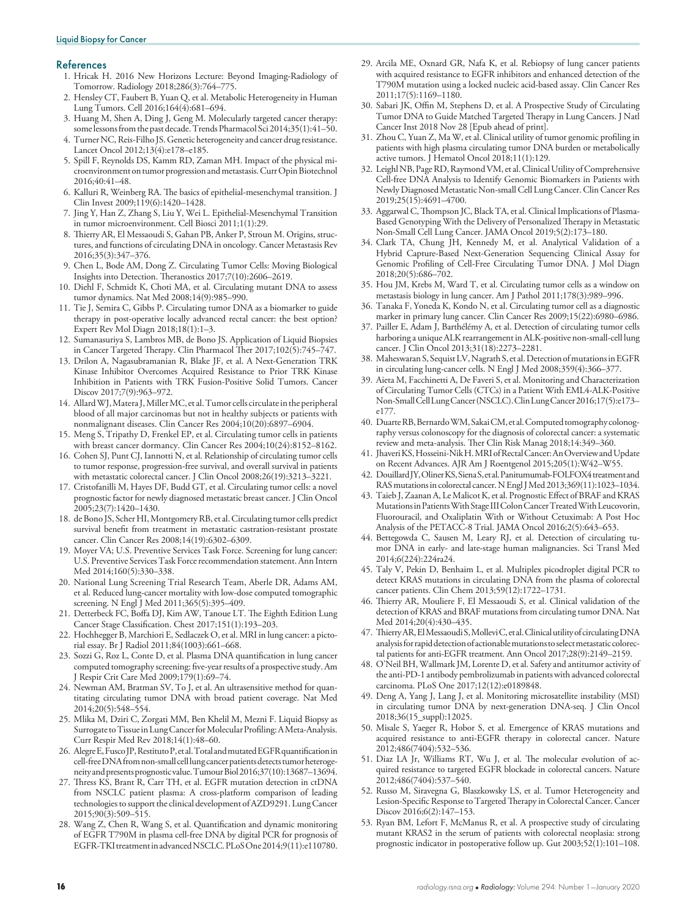#### References

- 1. Hricak H. 2016 New Horizons Lecture: Beyond Imaging-Radiology of Tomorrow. Radiology 2018;286(3):764–775.
- 2. Hensley CT, Faubert B, Yuan Q, et al. Metabolic Heterogeneity in Human Lung Tumors. Cell 2016;164(4):681–694.
- 3. Huang M, Shen A, Ding J, Geng M. Molecularly targeted cancer therapy: some lessons from the past decade. Trends Pharmacol Sci 2014;35(1):41–50.
- 4. Turner NC, Reis-Filho JS. Genetic heterogeneity and cancer drug resistance. Lancet Oncol 2012;13(4):e178–e185.
- 5. Spill F, Reynolds DS, Kamm RD, Zaman MH. Impact of the physical microenvironment on tumor progression and metastasis. Curr Opin Biotechnol 2016;40:41–48.
- 6. Kalluri R, Weinberg RA. The basics of epithelial-mesenchymal transition. J Clin Invest 2009;119(6):1420–1428.
- 7. Jing Y, Han Z, Zhang S, Liu Y, Wei L. Epithelial-Mesenchymal Transition in tumor microenvironment. Cell Biosci 2011;1(1):29.
- 8. Thierry AR, El Messaoudi S, Gahan PB, Anker P, Stroun M. Origins, structures, and functions of circulating DNA in oncology. Cancer Metastasis Rev 2016;35(3):347–376.
- 9. Chen L, Bode AM, Dong Z. Circulating Tumor Cells: Moving Biological Insights into Detection. Theranostics 2017;7(10):2606–2619.
- 10. Diehl F, Schmidt K, Choti MA, et al. Circulating mutant DNA to assess tumor dynamics. Nat Med 2008;14(9):985–990.
- 11. Tie J, Semira C, Gibbs P. Circulating tumor DNA as a biomarker to guide therapy in post-operative locally advanced rectal cancer: the best option? Expert Rev Mol Diagn 2018;18(1):1–3.
- 12. Sumanasuriya S, Lambros MB, de Bono JS. Application of Liquid Biopsies in Cancer Targeted Therapy. Clin Pharmacol Ther 2017;102(5):745–747.
- 13. Drilon A, Nagasubramanian R, Blake JF, et al. A Next-Generation TRK Kinase Inhibitor Overcomes Acquired Resistance to Prior TRK Kinase Inhibition in Patients with TRK Fusion-Positive Solid Tumors. Cancer Discov 2017;7(9):963–972.
- 14. Allard WJ, Matera J, Miller MC, et al. Tumor cells circulate in the peripheral blood of all major carcinomas but not in healthy subjects or patients with nonmalignant diseases. Clin Cancer Res 2004;10(20):6897–6904.
- 15. Meng S, Tripathy D, Frenkel EP, et al. Circulating tumor cells in patients with breast cancer dormancy. Clin Cancer Res 2004;10(24):8152–8162.
- 16. Cohen SJ, Punt CJ, Iannotti N, et al. Relationship of circulating tumor cells to tumor response, progression-free survival, and overall survival in patients with metastatic colorectal cancer. J Clin Oncol 2008;26(19):3213–3221.
- 17. Cristofanilli M, Hayes DF, Budd GT, et al. Circulating tumor cells: a novel prognostic factor for newly diagnosed metastatic breast cancer. J Clin Oncol 2005;23(7):1420–1430.
- 18. de Bono JS, Scher HI, Montgomery RB, et al. Circulating tumor cells predict survival benefit from treatment in metastatic castration-resistant prostate cancer. Clin Cancer Res 2008;14(19):6302–6309.
- 19. Moyer VA; U.S. Preventive Services Task Force. Screening for lung cancer: U.S. Preventive Services Task Force recommendation statement. Ann Intern Med 2014;160(5):330–338.
- 20. National Lung Screening Trial Research Team, Aberle DR, Adams AM, et al. Reduced lung-cancer mortality with low-dose computed tomographic screening. N Engl J Med 2011;365(5):395–409.
- 21. Detterbeck FC, Boffa DJ, Kim AW, Tanoue LT. The Eighth Edition Lung Cancer Stage Classification. Chest 2017;151(1):193–203.
- 22. Hochhegger B, Marchiori E, Sedlaczek O, et al. MRI in lung cancer: a pictorial essay. Br J Radiol 2011;84(1003):661–668.
- 23. Sozzi G, Roz L, Conte D, et al. Plasma DNA quantification in lung cancer computed tomography screening: five-year results of a prospective study. Am J Respir Crit Care Med 2009;179(1):69–74.
- 24. Newman AM, Bratman SV, To J, et al. An ultrasensitive method for quantitating circulating tumor DNA with broad patient coverage. Nat Med 2014;20(5):548–554.
- 25. Mlika M, Dziri C, Zorgati MM, Ben Khelil M, Mezni F. Liquid Biopsy as Surrogate to Tissue in Lung Cancer for Molecular Profiling: A Meta-Analysis. Curr Respir Med Rev 2018;14(1):48–60.
- 26. Alegre E, Fusco JP, Restituto P, et al. Total and mutated EGFR quantification in cell-free DNA from non-small cell lung cancer patients detects tumor heterogeneity and presents prognostic value. Tumour Biol 2016;37(10):13687–13694.
- 27. Thress KS, Brant R, Carr TH, et al. EGFR mutation detection in ctDNA from NSCLC patient plasma: A cross-platform comparison of leading technologies to support the clinical development of AZD9291. Lung Cancer 2015;90(3):509–515.
- 28. Wang Z, Chen R, Wang S, et al. Quantification and dynamic monitoring of EGFR T790M in plasma cell-free DNA by digital PCR for prognosis of EGFR-TKI treatment in advanced NSCLC. PLoS One 2014;9(11):e110780.
- 29. Arcila ME, Oxnard GR, Nafa K, et al. Rebiopsy of lung cancer patients with acquired resistance to EGFR inhibitors and enhanced detection of the T790M mutation using a locked nucleic acid-based assay. Clin Cancer Res 2011;17(5):1169–1180.
- 30. Sabari JK, Offin M, Stephens D, et al. A Prospective Study of Circulating Tumor DNA to Guide Matched Targeted Therapy in Lung Cancers. J Natl Cancer Inst 2018 Nov 28 [Epub ahead of print].
- 31. Zhou C, Yuan Z, Ma W, et al. Clinical utility of tumor genomic profiling in patients with high plasma circulating tumor DNA burden or metabolically active tumors. J Hematol Oncol 2018;11(1):129.
- 32. Leighl NB, Page RD, Raymond VM, et al. Clinical Utility of Comprehensive Cell-free DNA Analysis to Identify Genomic Biomarkers in Patients with Newly Diagnosed Metastatic Non-small Cell Lung Cancer. Clin Cancer Res 2019;25(15):4691–4700.
- 33. Aggarwal C, Thompson JC, Black TA, et al. Clinical Implications of Plasma-Based Genotyping With the Delivery of Personalized Therapy in Metastatic Non-Small Cell Lung Cancer. JAMA Oncol 2019;5(2):173–180.
- 34. Clark TA, Chung JH, Kennedy M, et al. Analytical Validation of a Hybrid Capture-Based Next-Generation Sequencing Clinical Assay for Genomic Profiling of Cell-Free Circulating Tumor DNA. J Mol Diagn 2018;20(5):686–702.
- 35. Hou JM, Krebs M, Ward T, et al. Circulating tumor cells as a window on metastasis biology in lung cancer. Am J Pathol 2011;178(3):989–996.
- 36. Tanaka F, Yoneda K, Kondo N, et al. Circulating tumor cell as a diagnostic marker in primary lung cancer. Clin Cancer Res 2009;15(22):6980–6986.
- 37. Pailler E, Adam J, Barthélémy A, et al. Detection of circulating tumor cells harboring a unique ALK rearrangement in ALK-positive non-small-cell lung cancer. J Clin Oncol 2013;31(18):2273–2281.
- 38. Maheswaran S, Sequist LV, Nagrath S, et al. Detection of mutations in EGFR in circulating lung-cancer cells. N Engl J Med 2008;359(4):366–377.
- 39. Aieta M, Facchinetti A, De Faveri S, et al. Monitoring and Characterization of Circulating Tumor Cells (CTCs) in a Patient With EML4-ALK-Positive Non-Small Cell Lung Cancer (NSCLC). Clin Lung Cancer 2016;17(5):e173– e177.
- 40. Duarte RB, Bernardo WM, Sakai CM, et al. Computed tomography colonography versus colonoscopy for the diagnosis of colorectal cancer: a systematic review and meta-analysis. Ther Clin Risk Manag 2018;14:349–360.
- 41. Jhaveri KS, Hosseini-Nik H. MRI of Rectal Cancer: An Overview and Update on Recent Advances. AJR Am J Roentgenol 2015;205(1):W42–W55.
- 42. Douillard JY, Oliner KS, Siena S, et al. Panitumumab-FOLFOX4 treatment and RAS mutations in colorectal cancer. N Engl J Med 2013;369(11):1023–1034.
- 43. Taieb J, Zaanan A, Le Malicot K, et al. Prognostic Effect of BRAF and KRAS Mutations in Patients With Stage III Colon Cancer Treated With Leucovorin, Fluorouracil, and Oxaliplatin With or Without Cetuximab: A Post Hoc Analysis of the PETACC-8 Trial. JAMA Oncol 2016;2(5):643–653.
- 44. Bettegowda C, Sausen M, Leary RJ, et al. Detection of circulating tumor DNA in early- and late-stage human malignancies. Sci Transl Med 2014;6(224):224ra24.
- 45. Taly V, Pekin D, Benhaim L, et al. Multiplex picodroplet digital PCR to detect KRAS mutations in circulating DNA from the plasma of colorectal cancer patients. Clin Chem 2013;59(12):1722–1731.
- 46. Thierry AR, Mouliere F, El Messaoudi S, et al. Clinical validation of the detection of KRAS and BRAF mutations from circulating tumor DNA. Nat Med 2014;20(4):430–435.
- 47. Thierry AR, El Messaoudi S, Mollevi C, et al. Clinical utility of circulating DNA analysis for rapid detection of actionable mutations to select metastatic colorectal patients for anti-EGFR treatment. Ann Oncol 2017;28(9):2149–2159.
- 48. O'Neil BH, Wallmark JM, Lorente D, et al. Safety and antitumor activity of the anti-PD-1 antibody pembrolizumab in patients with advanced colorectal carcinoma. PLoS One 2017;12(12):e0189848.
- 49. Deng A, Yang J, Lang J, et al. Monitoring microsatellite instability (MSI) in circulating tumor DNA by next-generation DNA-seq. J Clin Oncol 2018;36(15\_suppl):12025.
- 50. Misale S, Yaeger R, Hobor S, et al. Emergence of KRAS mutations and acquired resistance to anti-EGFR therapy in colorectal cancer. Nature 2012;486(7404):532–536.
- 51. Diaz LA Jr, Williams RT, Wu J, et al. The molecular evolution of acquired resistance to targeted EGFR blockade in colorectal cancers. Nature 2012;486(7404):537–540.
- 52. Russo M, Siravegna G, Blaszkowsky LS, et al. Tumor Heterogeneity and Lesion-Specific Response to Targeted Therapy in Colorectal Cancer. Cancer Discov 2016;6(2):147–153.
- 53. Ryan BM, Lefort F, McManus R, et al. A prospective study of circulating mutant KRAS2 in the serum of patients with colorectal neoplasia: strong prognostic indicator in postoperative follow up. Gut 2003;52(1):101–108.